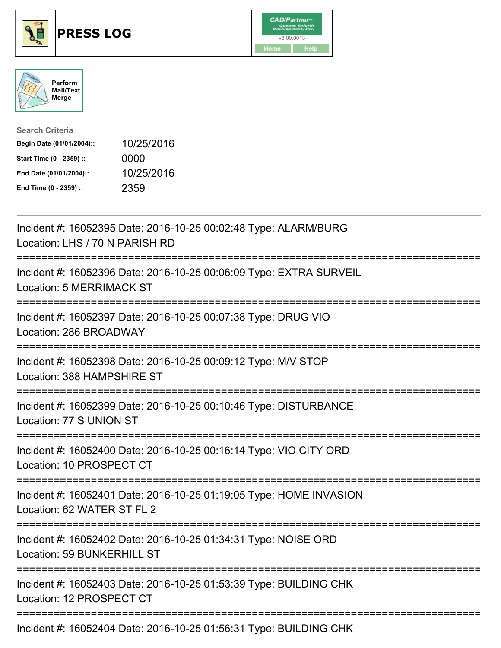





| <b>Search Criteria</b>    |            |
|---------------------------|------------|
| Begin Date (01/01/2004):: | 10/25/2016 |
| Start Time (0 - 2359) ::  | 0000       |
| End Date (01/01/2004)::   | 10/25/2016 |
| End Time (0 - 2359) ::    | 2359       |

| Incident #: 16052395 Date: 2016-10-25 00:02:48 Type: ALARM/BURG<br>Location: LHS / 70 N PARISH RD                                            |
|----------------------------------------------------------------------------------------------------------------------------------------------|
| Incident #: 16052396 Date: 2016-10-25 00:06:09 Type: EXTRA SURVEIL<br><b>Location: 5 MERRIMACK ST</b>                                        |
| Incident #: 16052397 Date: 2016-10-25 00:07:38 Type: DRUG VIO<br>Location: 286 BROADWAY                                                      |
| Incident #: 16052398 Date: 2016-10-25 00:09:12 Type: M/V STOP<br>Location: 388 HAMPSHIRE ST                                                  |
| Incident #: 16052399 Date: 2016-10-25 00:10:46 Type: DISTURBANCE<br>Location: 77 S UNION ST                                                  |
| Incident #: 16052400 Date: 2016-10-25 00:16:14 Type: VIO CITY ORD<br>Location: 10 PROSPECT CT                                                |
| Incident #: 16052401 Date: 2016-10-25 01:19:05 Type: HOME INVASION<br>Location: 62 WATER ST FL 2<br>------------------                       |
| Incident #: 16052402 Date: 2016-10-25 01:34:31 Type: NOISE ORD<br>Location: 59 BUNKERHILL ST                                                 |
| ---------------------<br>------------------<br>Incident #: 16052403 Date: 2016-10-25 01:53:39 Type: BUILDING CHK<br>Location: 12 PROSPECT CT |
| Incident #: 16052404 Date: 2016-10-25 01:56:31 Type: BUILDING CHK                                                                            |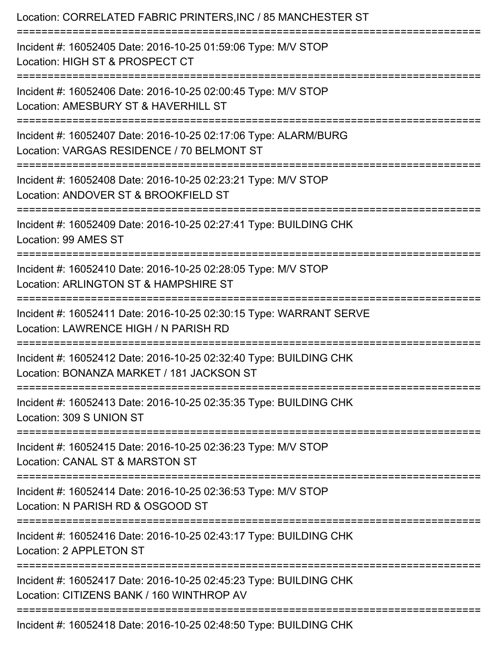| Location: CORRELATED FABRIC PRINTERS, INC / 85 MANCHESTER ST                                                            |
|-------------------------------------------------------------------------------------------------------------------------|
| Incident #: 16052405 Date: 2016-10-25 01:59:06 Type: M/V STOP<br>Location: HIGH ST & PROSPECT CT<br>------------------- |
| Incident #: 16052406 Date: 2016-10-25 02:00:45 Type: M/V STOP<br>Location: AMESBURY ST & HAVERHILL ST                   |
| Incident #: 16052407 Date: 2016-10-25 02:17:06 Type: ALARM/BURG<br>Location: VARGAS RESIDENCE / 70 BELMONT ST           |
| Incident #: 16052408 Date: 2016-10-25 02:23:21 Type: M/V STOP<br>Location: ANDOVER ST & BROOKFIELD ST                   |
| Incident #: 16052409 Date: 2016-10-25 02:27:41 Type: BUILDING CHK<br>Location: 99 AMES ST                               |
| Incident #: 16052410 Date: 2016-10-25 02:28:05 Type: M/V STOP<br>Location: ARLINGTON ST & HAMPSHIRE ST                  |
| Incident #: 16052411 Date: 2016-10-25 02:30:15 Type: WARRANT SERVE<br>Location: LAWRENCE HIGH / N PARISH RD             |
| Incident #: 16052412 Date: 2016-10-25 02:32:40 Type: BUILDING CHK<br>Location: BONANZA MARKET / 181 JACKSON ST          |
| Incident #: 16052413 Date: 2016-10-25 02:35:35 Type: BUILDING CHK<br>Location: 309 S UNION ST                           |
| Incident #: 16052415 Date: 2016-10-25 02:36:23 Type: M/V STOP<br>Location: CANAL ST & MARSTON ST                        |
| Incident #: 16052414 Date: 2016-10-25 02:36:53 Type: M/V STOP<br>Location: N PARISH RD & OSGOOD ST                      |
| Incident #: 16052416 Date: 2016-10-25 02:43:17 Type: BUILDING CHK<br>Location: 2 APPLETON ST                            |
| Incident #: 16052417 Date: 2016-10-25 02:45:23 Type: BUILDING CHK<br>Location: CITIZENS BANK / 160 WINTHROP AV          |
| Incident #: 16052418 Date: 2016-10-25 02:48:50 Type: BUILDING CHK                                                       |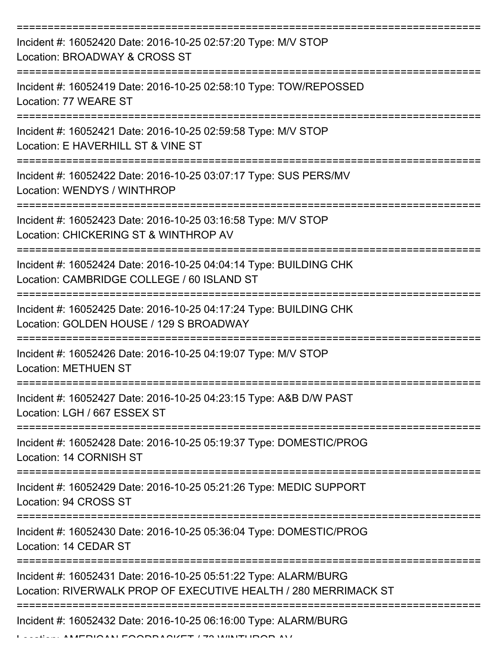| Incident #: 16052420 Date: 2016-10-25 02:57:20 Type: M/V STOP<br>Location: BROADWAY & CROSS ST                                                                                                                                                                                                                                                                                                                                                                                              |
|---------------------------------------------------------------------------------------------------------------------------------------------------------------------------------------------------------------------------------------------------------------------------------------------------------------------------------------------------------------------------------------------------------------------------------------------------------------------------------------------|
| Incident #: 16052419 Date: 2016-10-25 02:58:10 Type: TOW/REPOSSED<br>Location: 77 WEARE ST                                                                                                                                                                                                                                                                                                                                                                                                  |
| Incident #: 16052421 Date: 2016-10-25 02:59:58 Type: M/V STOP<br>Location: E HAVERHILL ST & VINE ST                                                                                                                                                                                                                                                                                                                                                                                         |
| Incident #: 16052422 Date: 2016-10-25 03:07:17 Type: SUS PERS/MV<br>Location: WENDYS / WINTHROP                                                                                                                                                                                                                                                                                                                                                                                             |
| Incident #: 16052423 Date: 2016-10-25 03:16:58 Type: M/V STOP<br>Location: CHICKERING ST & WINTHROP AV                                                                                                                                                                                                                                                                                                                                                                                      |
| Incident #: 16052424 Date: 2016-10-25 04:04:14 Type: BUILDING CHK<br>Location: CAMBRIDGE COLLEGE / 60 ISLAND ST                                                                                                                                                                                                                                                                                                                                                                             |
| Incident #: 16052425 Date: 2016-10-25 04:17:24 Type: BUILDING CHK<br>Location: GOLDEN HOUSE / 129 S BROADWAY                                                                                                                                                                                                                                                                                                                                                                                |
| Incident #: 16052426 Date: 2016-10-25 04:19:07 Type: M/V STOP<br><b>Location: METHUEN ST</b>                                                                                                                                                                                                                                                                                                                                                                                                |
| Incident #: 16052427 Date: 2016-10-25 04:23:15 Type: A&B D/W PAST<br>Location: LGH / 667 ESSEX ST                                                                                                                                                                                                                                                                                                                                                                                           |
| Incident #: 16052428 Date: 2016-10-25 05:19:37 Type: DOMESTIC/PROG<br>Location: 14 CORNISH ST                                                                                                                                                                                                                                                                                                                                                                                               |
| Incident #: 16052429 Date: 2016-10-25 05:21:26 Type: MEDIC SUPPORT<br>Location: 94 CROSS ST                                                                                                                                                                                                                                                                                                                                                                                                 |
| Incident #: 16052430 Date: 2016-10-25 05:36:04 Type: DOMESTIC/PROG<br>Location: 14 CEDAR ST                                                                                                                                                                                                                                                                                                                                                                                                 |
| Incident #: 16052431 Date: 2016-10-25 05:51:22 Type: ALARM/BURG<br>Location: RIVERWALK PROP OF EXECUTIVE HEALTH / 280 MERRIMACK ST                                                                                                                                                                                                                                                                                                                                                          |
| Incident #: 16052432 Date: 2016-10-25 06:16:00 Type: ALARM/BURG<br>$[C_{\mathbf{C}}(A_{\mathbf{A}}), \mathbf{C}_{\mathbf{A}}(B_{\mathbf{A}}), \mathbf{C}_{\mathbf{A}}(B_{\mathbf{A}})] \in \mathcal{L}^{2}(\mathbf{C}_{\mathbf{A}}(A_{\mathbf{A}}), \mathbf{C}_{\mathbf{A}}(B_{\mathbf{A}}), \mathbf{C}_{\mathbf{A}}(B_{\mathbf{A}}), \mathbf{C}_{\mathbf{A}}(B_{\mathbf{A}}), \mathbf{C}_{\mathbf{A}}(B_{\mathbf{A}}), \mathbf{C}_{\mathbf{A}}(B_{\mathbf{A}}), \mathbf{C}_{\mathbf{A}}(B$ |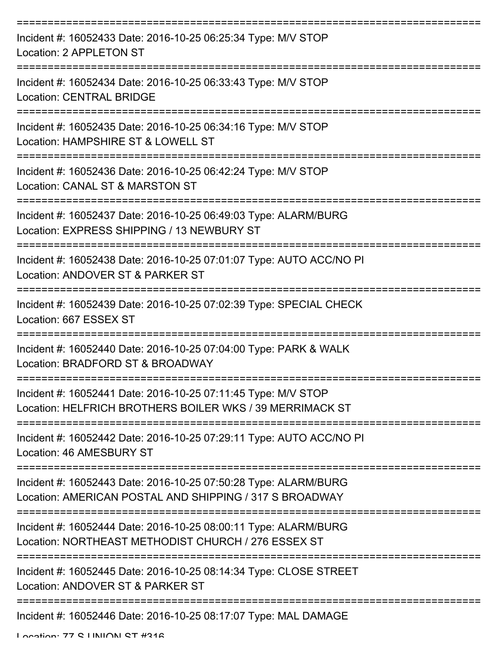| Incident #: 16052433 Date: 2016-10-25 06:25:34 Type: M/V STOP<br>Location: 2 APPLETON ST                                   |
|----------------------------------------------------------------------------------------------------------------------------|
| Incident #: 16052434 Date: 2016-10-25 06:33:43 Type: M/V STOP<br><b>Location: CENTRAL BRIDGE</b>                           |
| Incident #: 16052435 Date: 2016-10-25 06:34:16 Type: M/V STOP<br>Location: HAMPSHIRE ST & LOWELL ST                        |
| Incident #: 16052436 Date: 2016-10-25 06:42:24 Type: M/V STOP<br>Location: CANAL ST & MARSTON ST                           |
| Incident #: 16052437 Date: 2016-10-25 06:49:03 Type: ALARM/BURG<br>Location: EXPRESS SHIPPING / 13 NEWBURY ST              |
| Incident #: 16052438 Date: 2016-10-25 07:01:07 Type: AUTO ACC/NO PI<br>Location: ANDOVER ST & PARKER ST                    |
| Incident #: 16052439 Date: 2016-10-25 07:02:39 Type: SPECIAL CHECK<br>Location: 667 ESSEX ST                               |
| :===========<br>Incident #: 16052440 Date: 2016-10-25 07:04:00 Type: PARK & WALK<br>Location: BRADFORD ST & BROADWAY       |
| Incident #: 16052441 Date: 2016-10-25 07:11:45 Type: M/V STOP<br>Location: HELFRICH BROTHERS BOILER WKS / 39 MERRIMACK ST  |
| Incident #: 16052442 Date: 2016-10-25 07:29:11 Type: AUTO ACC/NO PI<br>Location: 46 AMESBURY ST                            |
| Incident #: 16052443 Date: 2016-10-25 07:50:28 Type: ALARM/BURG<br>Location: AMERICAN POSTAL AND SHIPPING / 317 S BROADWAY |
| Incident #: 16052444 Date: 2016-10-25 08:00:11 Type: ALARM/BURG<br>Location: NORTHEAST METHODIST CHURCH / 276 ESSEX ST     |
| Incident #: 16052445 Date: 2016-10-25 08:14:34 Type: CLOSE STREET<br>Location: ANDOVER ST & PARKER ST                      |
| -----------------------------------<br>Incident #: 16052446 Date: 2016-10-25 08:17:07 Type: MAL DAMAGE                     |

Location: 77 C LINIION CT #316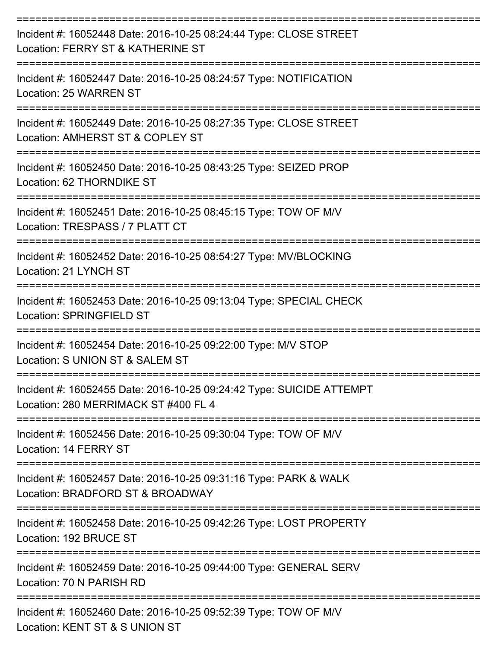| Incident #: 16052448 Date: 2016-10-25 08:24:44 Type: CLOSE STREET<br>Location: FERRY ST & KATHERINE ST       |
|--------------------------------------------------------------------------------------------------------------|
| Incident #: 16052447 Date: 2016-10-25 08:24:57 Type: NOTIFICATION<br>Location: 25 WARREN ST                  |
| Incident #: 16052449 Date: 2016-10-25 08:27:35 Type: CLOSE STREET<br>Location: AMHERST ST & COPLEY ST        |
| Incident #: 16052450 Date: 2016-10-25 08:43:25 Type: SEIZED PROP<br>Location: 62 THORNDIKE ST                |
| Incident #: 16052451 Date: 2016-10-25 08:45:15 Type: TOW OF M/V<br>Location: TRESPASS / 7 PLATT CT           |
| Incident #: 16052452 Date: 2016-10-25 08:54:27 Type: MV/BLOCKING<br>Location: 21 LYNCH ST                    |
| Incident #: 16052453 Date: 2016-10-25 09:13:04 Type: SPECIAL CHECK<br><b>Location: SPRINGFIELD ST</b>        |
| Incident #: 16052454 Date: 2016-10-25 09:22:00 Type: M/V STOP<br>Location: S UNION ST & SALEM ST             |
| Incident #: 16052455 Date: 2016-10-25 09:24:42 Type: SUICIDE ATTEMPT<br>Location: 280 MERRIMACK ST #400 FL 4 |
| Incident #: 16052456 Date: 2016-10-25 09:30:04 Type: TOW OF M/V<br>Location: 14 FERRY ST                     |
| Incident #: 16052457 Date: 2016-10-25 09:31:16 Type: PARK & WALK<br>Location: BRADFORD ST & BROADWAY         |
| Incident #: 16052458 Date: 2016-10-25 09:42:26 Type: LOST PROPERTY<br>Location: 192 BRUCE ST                 |
| Incident #: 16052459 Date: 2016-10-25 09:44:00 Type: GENERAL SERV<br>Location: 70 N PARISH RD                |
| Incident #: 16052460 Date: 2016-10-25 09:52:39 Type: TOW OF M/V<br>Location: KENT ST & S UNION ST            |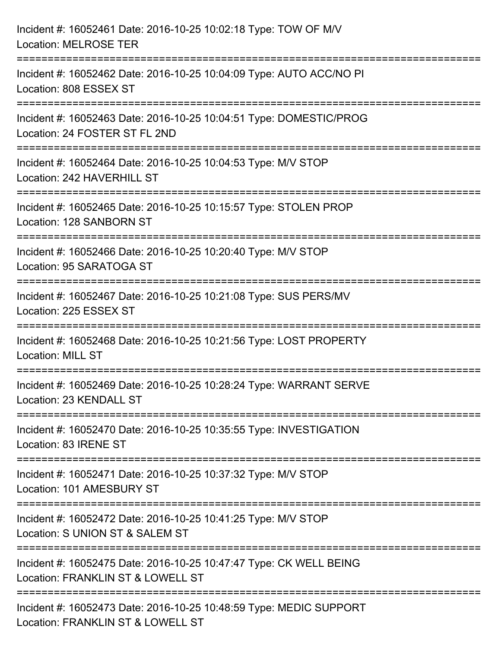| Incident #: 16052461 Date: 2016-10-25 10:02:18 Type: TOW OF M/V<br><b>Location: MELROSE TER</b>                                   |
|-----------------------------------------------------------------------------------------------------------------------------------|
| :===============================<br>Incident #: 16052462 Date: 2016-10-25 10:04:09 Type: AUTO ACC/NO PI<br>Location: 808 ESSEX ST |
| Incident #: 16052463 Date: 2016-10-25 10:04:51 Type: DOMESTIC/PROG<br>Location: 24 FOSTER ST FL 2ND                               |
| Incident #: 16052464 Date: 2016-10-25 10:04:53 Type: M/V STOP<br>Location: 242 HAVERHILL ST                                       |
| Incident #: 16052465 Date: 2016-10-25 10:15:57 Type: STOLEN PROP<br>Location: 128 SANBORN ST                                      |
| Incident #: 16052466 Date: 2016-10-25 10:20:40 Type: M/V STOP<br>Location: 95 SARATOGA ST                                         |
| Incident #: 16052467 Date: 2016-10-25 10:21:08 Type: SUS PERS/MV<br>Location: 225 ESSEX ST                                        |
| Incident #: 16052468 Date: 2016-10-25 10:21:56 Type: LOST PROPERTY<br><b>Location: MILL ST</b>                                    |
| Incident #: 16052469 Date: 2016-10-25 10:28:24 Type: WARRANT SERVE<br>Location: 23 KENDALL ST                                     |
| Incident #: 16052470 Date: 2016-10-25 10:35:55 Type: INVESTIGATION<br>Location: 83 IRENE ST                                       |
| Incident #: 16052471 Date: 2016-10-25 10:37:32 Type: M/V STOP<br>Location: 101 AMESBURY ST                                        |
| Incident #: 16052472 Date: 2016-10-25 10:41:25 Type: M/V STOP<br>Location: S UNION ST & SALEM ST                                  |
| Incident #: 16052475 Date: 2016-10-25 10:47:47 Type: CK WELL BEING<br>Location: FRANKLIN ST & LOWELL ST                           |
| Incident #: 16052473 Date: 2016-10-25 10:48:59 Type: MEDIC SUPPORT<br>Location: FRANKLIN ST & LOWELL ST                           |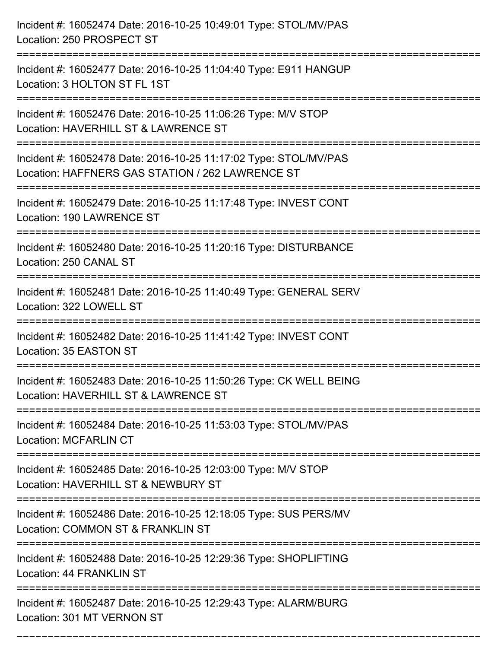| Incident #: 16052474 Date: 2016-10-25 10:49:01 Type: STOL/MV/PAS<br>Location: 250 PROSPECT ST                                      |
|------------------------------------------------------------------------------------------------------------------------------------|
| Incident #: 16052477 Date: 2016-10-25 11:04:40 Type: E911 HANGUP<br>Location: 3 HOLTON ST FL 1ST                                   |
| Incident #: 16052476 Date: 2016-10-25 11:06:26 Type: M/V STOP<br>Location: HAVERHILL ST & LAWRENCE ST<br>:======================== |
| Incident #: 16052478 Date: 2016-10-25 11:17:02 Type: STOL/MV/PAS<br>Location: HAFFNERS GAS STATION / 262 LAWRENCE ST               |
| Incident #: 16052479 Date: 2016-10-25 11:17:48 Type: INVEST CONT<br>Location: 190 LAWRENCE ST                                      |
| Incident #: 16052480 Date: 2016-10-25 11:20:16 Type: DISTURBANCE<br>Location: 250 CANAL ST                                         |
| Incident #: 16052481 Date: 2016-10-25 11:40:49 Type: GENERAL SERV<br>Location: 322 LOWELL ST                                       |
| Incident #: 16052482 Date: 2016-10-25 11:41:42 Type: INVEST CONT<br>Location: 35 EASTON ST                                         |
| Incident #: 16052483 Date: 2016-10-25 11:50:26 Type: CK WELL BEING<br>Location: HAVERHILL ST & LAWRENCE ST                         |
| Incident #: 16052484 Date: 2016-10-25 11:53:03 Type: STOL/MV/PAS<br><b>Location: MCFARLIN CT</b>                                   |
| Incident #: 16052485 Date: 2016-10-25 12:03:00 Type: M/V STOP<br>Location: HAVERHILL ST & NEWBURY ST                               |
| Incident #: 16052486 Date: 2016-10-25 12:18:05 Type: SUS PERS/MV<br>Location: COMMON ST & FRANKLIN ST                              |
| Incident #: 16052488 Date: 2016-10-25 12:29:36 Type: SHOPLIFTING<br>Location: 44 FRANKLIN ST                                       |
| Incident #: 16052487 Date: 2016-10-25 12:29:43 Type: ALARM/BURG<br>Location: 301 MT VERNON ST                                      |

===========================================================================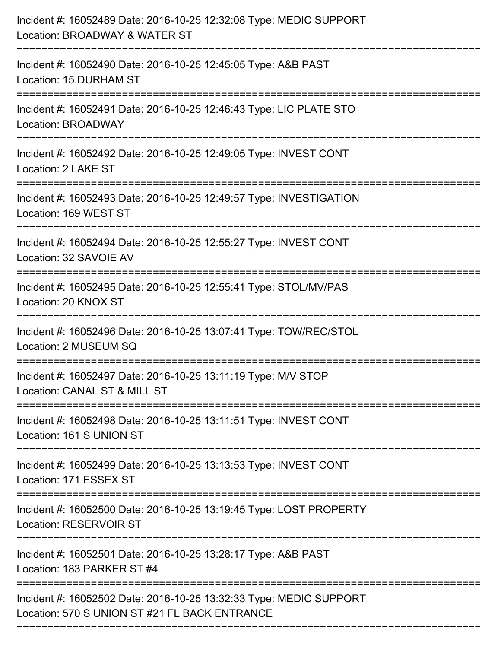| Incident #: 16052489 Date: 2016-10-25 12:32:08 Type: MEDIC SUPPORT<br>Location: BROADWAY & WATER ST<br>--------------------- |
|------------------------------------------------------------------------------------------------------------------------------|
| Incident #: 16052490 Date: 2016-10-25 12:45:05 Type: A&B PAST<br>Location: 15 DURHAM ST                                      |
| Incident #: 16052491 Date: 2016-10-25 12:46:43 Type: LIC PLATE STO<br>Location: BROADWAY                                     |
| Incident #: 16052492 Date: 2016-10-25 12:49:05 Type: INVEST CONT<br>Location: 2 LAKE ST                                      |
| Incident #: 16052493 Date: 2016-10-25 12:49:57 Type: INVESTIGATION<br>Location: 169 WEST ST                                  |
| Incident #: 16052494 Date: 2016-10-25 12:55:27 Type: INVEST CONT<br>Location: 32 SAVOIE AV                                   |
| Incident #: 16052495 Date: 2016-10-25 12:55:41 Type: STOL/MV/PAS<br>Location: 20 KNOX ST                                     |
| Incident #: 16052496 Date: 2016-10-25 13:07:41 Type: TOW/REC/STOL<br>Location: 2 MUSEUM SQ                                   |
| Incident #: 16052497 Date: 2016-10-25 13:11:19 Type: M/V STOP<br>Location: CANAL ST & MILL ST<br>===========                 |
| Incident #: 16052498 Date: 2016-10-25 13:11:51 Type: INVEST CONT<br>Location: 161 S UNION ST                                 |
| Incident #: 16052499 Date: 2016-10-25 13:13:53 Type: INVEST CONT<br>Location: 171 ESSEX ST                                   |
| Incident #: 16052500 Date: 2016-10-25 13:19:45 Type: LOST PROPERTY<br><b>Location: RESERVOIR ST</b>                          |
| Incident #: 16052501 Date: 2016-10-25 13:28:17 Type: A&B PAST<br>Location: 183 PARKER ST #4                                  |
| Incident #: 16052502 Date: 2016-10-25 13:32:33 Type: MEDIC SUPPORT<br>Location: 570 S UNION ST #21 FL BACK ENTRANCE          |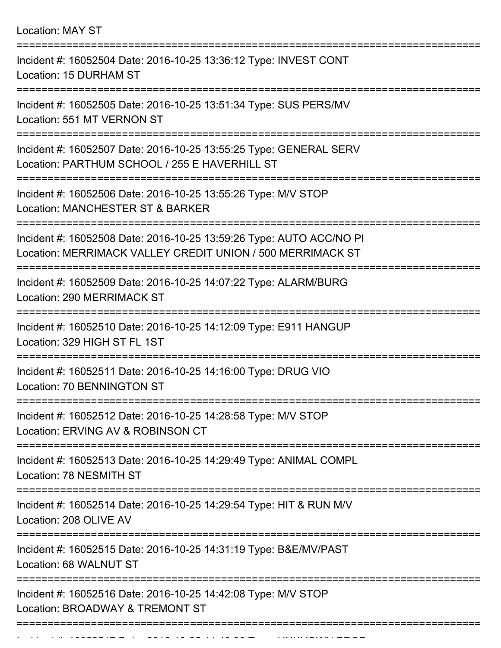Location: MAY ST =========================================================================== Incident #: 16052504 Date: 2016-10-25 13:36:12 Type: INVEST CONT Location: 15 DURHAM ST =========================================================================== Incident #: 16052505 Date: 2016-10-25 13:51:34 Type: SUS PERS/MV Location: 551 MT VERNON ST =========================================================================== Incident #: 16052507 Date: 2016-10-25 13:55:25 Type: GENERAL SERV Location: PARTHUM SCHOOL / 255 E HAVERHILL ST =========================================================================== Incident #: 16052506 Date: 2016-10-25 13:55:26 Type: M/V STOP Location: MANCHESTER ST & BARKER =========================================================================== Incident #: 16052508 Date: 2016-10-25 13:59:26 Type: AUTO ACC/NO PI Location: MERRIMACK VALLEY CREDIT UNION / 500 MERRIMACK ST =========================================================================== Incident #: 16052509 Date: 2016-10-25 14:07:22 Type: ALARM/BURG Location: 290 MERRIMACK ST =========================================================================== Incident #: 16052510 Date: 2016-10-25 14:12:09 Type: E911 HANGUP Location: 329 HIGH ST FL 1ST =========================================================================== Incident #: 16052511 Date: 2016-10-25 14:16:00 Type: DRUG VIO Location: 70 BENNINGTON ST =========================================================================== Incident #: 16052512 Date: 2016-10-25 14:28:58 Type: M/V STOP Location: ERVING AV & ROBINSON CT =========================================================================== Incident #: 16052513 Date: 2016-10-25 14:29:49 Type: ANIMAL COMPL Location: 78 NESMITH ST =========================================================================== Incident #: 16052514 Date: 2016-10-25 14:29:54 Type: HIT & RUN M/V Location: 208 OLIVE AV =========================================================================== Incident #: 16052515 Date: 2016-10-25 14:31:19 Type: B&E/MV/PAST Location: 68 WALNUT ST =========================================================================== Incident #: 16052516 Date: 2016-10-25 14:42:08 Type: M/V STOP Location: BROADWAY & TREMONT ST ===========================================================================

Incident #: 16052517 Date: 2016 10 25 14:43:38 Type: UNKNOWN PROB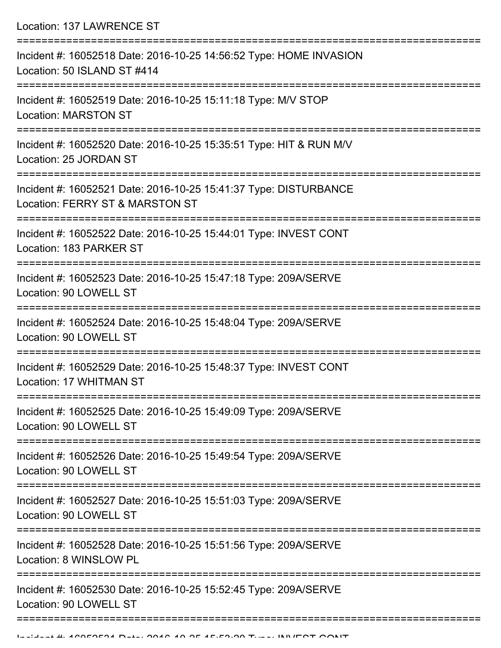| Location: 137 LAWRENCE ST                                                                                                       |
|---------------------------------------------------------------------------------------------------------------------------------|
| Incident #: 16052518 Date: 2016-10-25 14:56:52 Type: HOME INVASION<br>Location: 50 ISLAND ST #414                               |
| Incident #: 16052519 Date: 2016-10-25 15:11:18 Type: M/V STOP<br><b>Location: MARSTON ST</b>                                    |
| Incident #: 16052520 Date: 2016-10-25 15:35:51 Type: HIT & RUN M/V<br>Location: 25 JORDAN ST                                    |
| Incident #: 16052521 Date: 2016-10-25 15:41:37 Type: DISTURBANCE<br>Location: FERRY ST & MARSTON ST<br>======================== |
| Incident #: 16052522 Date: 2016-10-25 15:44:01 Type: INVEST CONT<br>Location: 183 PARKER ST                                     |
| Incident #: 16052523 Date: 2016-10-25 15:47:18 Type: 209A/SERVE<br>Location: 90 LOWELL ST<br>================================   |
| Incident #: 16052524 Date: 2016-10-25 15:48:04 Type: 209A/SERVE<br>Location: 90 LOWELL ST                                       |
| Incident #: 16052529 Date: 2016-10-25 15:48:37 Type: INVEST CONT<br>Location: 17 WHITMAN ST                                     |
| Incident #: 16052525 Date: 2016-10-25 15:49:09 Type: 209A/SERVE<br>Location: 90 LOWELL ST                                       |
| Incident #: 16052526 Date: 2016-10-25 15:49:54 Type: 209A/SERVE<br>Location: 90 LOWELL ST                                       |
| Incident #: 16052527 Date: 2016-10-25 15:51:03 Type: 209A/SERVE<br>Location: 90 LOWELL ST                                       |
| Incident #: 16052528 Date: 2016-10-25 15:51:56 Type: 209A/SERVE<br>Location: 8 WINSLOW PL                                       |
| Incident #: 16052530 Date: 2016-10-25 15:52:45 Type: 209A/SERVE<br>Location: 90 LOWELL ST                                       |
|                                                                                                                                 |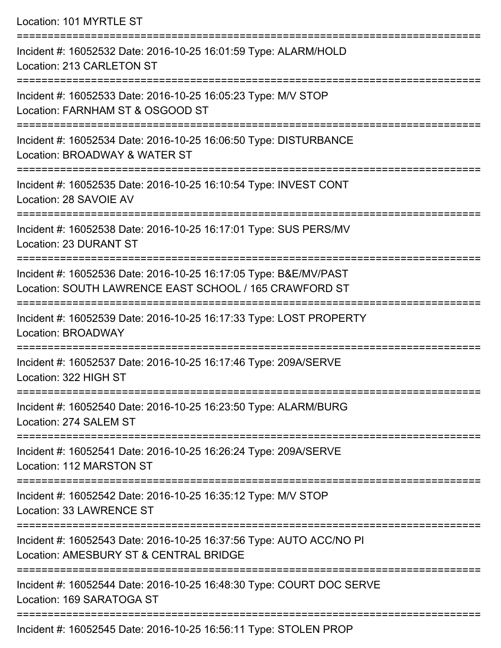Location: 101 MYRTLE ST =========================================================================== Incident #: 16052532 Date: 2016-10-25 16:01:59 Type: ALARM/HOLD Location: 213 CARLETON ST =========================================================================== Incident #: 16052533 Date: 2016-10-25 16:05:23 Type: M/V STOP Location: FARNHAM ST & OSGOOD ST =========================================================================== Incident #: 16052534 Date: 2016-10-25 16:06:50 Type: DISTURBANCE Location: BROADWAY & WATER ST =========================================================================== Incident #: 16052535 Date: 2016-10-25 16:10:54 Type: INVEST CONT Location: 28 SAVOIE AV =========================================================================== Incident #: 16052538 Date: 2016-10-25 16:17:01 Type: SUS PERS/MV Location: 23 DURANT ST =========================================================================== Incident #: 16052536 Date: 2016-10-25 16:17:05 Type: B&E/MV/PAST Location: SOUTH LAWRENCE EAST SCHOOL / 165 CRAWFORD ST =========================================================================== Incident #: 16052539 Date: 2016-10-25 16:17:33 Type: LOST PROPERTY Location: BROADWAY =========================================================================== Incident #: 16052537 Date: 2016-10-25 16:17:46 Type: 209A/SERVE Location: 322 HIGH ST =========================================================================== Incident #: 16052540 Date: 2016-10-25 16:23:50 Type: ALARM/BURG Location: 274 SALEM ST =========================================================================== Incident #: 16052541 Date: 2016-10-25 16:26:24 Type: 209A/SERVE Location: 112 MARSTON ST =========================================================================== Incident #: 16052542 Date: 2016-10-25 16:35:12 Type: M/V STOP Location: 33 LAWRENCE ST =========================================================================== Incident #: 16052543 Date: 2016-10-25 16:37:56 Type: AUTO ACC/NO PI Location: AMESBURY ST & CENTRAL BRIDGE =========================================================================== Incident #: 16052544 Date: 2016-10-25 16:48:30 Type: COURT DOC SERVE Location: 169 SARATOGA ST

===========================================================================

Incident #: 16052545 Date: 2016-10-25 16:56:11 Type: STOLEN PROP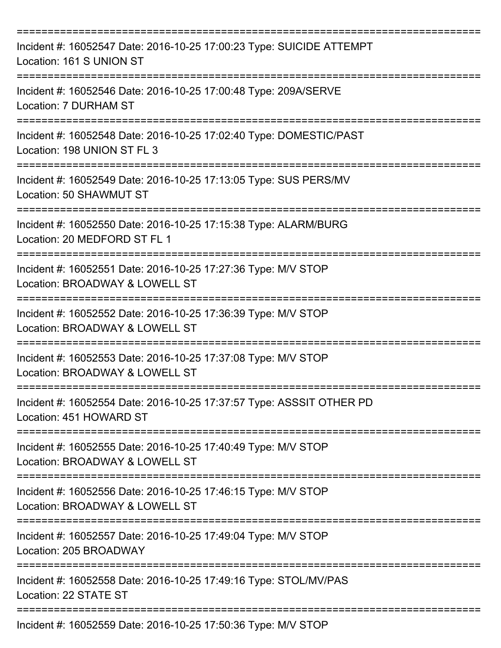| Incident #: 16052547 Date: 2016-10-25 17:00:23 Type: SUICIDE ATTEMPT<br>Location: 161 S UNION ST  |
|---------------------------------------------------------------------------------------------------|
| Incident #: 16052546 Date: 2016-10-25 17:00:48 Type: 209A/SERVE<br>Location: 7 DURHAM ST          |
| Incident #: 16052548 Date: 2016-10-25 17:02:40 Type: DOMESTIC/PAST<br>Location: 198 UNION ST FL 3 |
| Incident #: 16052549 Date: 2016-10-25 17:13:05 Type: SUS PERS/MV<br>Location: 50 SHAWMUT ST       |
| Incident #: 16052550 Date: 2016-10-25 17:15:38 Type: ALARM/BURG<br>Location: 20 MEDFORD ST FL 1   |
| Incident #: 16052551 Date: 2016-10-25 17:27:36 Type: M/V STOP<br>Location: BROADWAY & LOWELL ST   |
| Incident #: 16052552 Date: 2016-10-25 17:36:39 Type: M/V STOP<br>Location: BROADWAY & LOWELL ST   |
| Incident #: 16052553 Date: 2016-10-25 17:37:08 Type: M/V STOP<br>Location: BROADWAY & LOWELL ST   |
| Incident #: 16052554 Date: 2016-10-25 17:37:57 Type: ASSSIT OTHER PD<br>Location: 451 HOWARD ST   |
| Incident #: 16052555 Date: 2016-10-25 17:40:49 Type: M/V STOP<br>Location: BROADWAY & LOWELL ST   |
| Incident #: 16052556 Date: 2016-10-25 17:46:15 Type: M/V STOP<br>Location: BROADWAY & LOWELL ST   |
| Incident #: 16052557 Date: 2016-10-25 17:49:04 Type: M/V STOP<br>Location: 205 BROADWAY           |
| Incident #: 16052558 Date: 2016-10-25 17:49:16 Type: STOL/MV/PAS<br>Location: 22 STATE ST         |
| Incident #: 16052559 Date: 2016-10-25 17:50:36 Type: M/V STOP                                     |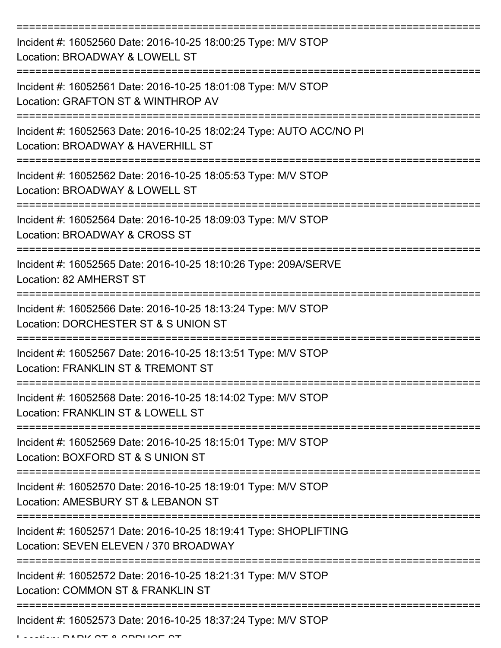| Incident #: 16052560 Date: 2016-10-25 18:00:25 Type: M/V STOP<br>Location: BROADWAY & LOWELL ST           |
|-----------------------------------------------------------------------------------------------------------|
| Incident #: 16052561 Date: 2016-10-25 18:01:08 Type: M/V STOP<br>Location: GRAFTON ST & WINTHROP AV       |
| Incident #: 16052563 Date: 2016-10-25 18:02:24 Type: AUTO ACC/NO PI<br>Location: BROADWAY & HAVERHILL ST  |
| Incident #: 16052562 Date: 2016-10-25 18:05:53 Type: M/V STOP<br>Location: BROADWAY & LOWELL ST           |
| Incident #: 16052564 Date: 2016-10-25 18:09:03 Type: M/V STOP<br>Location: BROADWAY & CROSS ST            |
| Incident #: 16052565 Date: 2016-10-25 18:10:26 Type: 209A/SERVE<br>Location: 82 AMHERST ST                |
| Incident #: 16052566 Date: 2016-10-25 18:13:24 Type: M/V STOP<br>Location: DORCHESTER ST & S UNION ST     |
| Incident #: 16052567 Date: 2016-10-25 18:13:51 Type: M/V STOP<br>Location: FRANKLIN ST & TREMONT ST       |
| Incident #: 16052568 Date: 2016-10-25 18:14:02 Type: M/V STOP<br>Location: FRANKLIN ST & LOWELL ST        |
| Incident #: 16052569 Date: 2016-10-25 18:15:01 Type: M/V STOP<br>Location: BOXFORD ST & S UNION ST        |
| Incident #: 16052570 Date: 2016-10-25 18:19:01 Type: M/V STOP<br>Location: AMESBURY ST & LEBANON ST       |
| Incident #: 16052571 Date: 2016-10-25 18:19:41 Type: SHOPLIFTING<br>Location: SEVEN ELEVEN / 370 BROADWAY |
| Incident #: 16052572 Date: 2016-10-25 18:21:31 Type: M/V STOP<br>Location: COMMON ST & FRANKLIN ST        |
| Incident #: 16052573 Date: 2016-10-25 18:37:24 Type: M/V STOP                                             |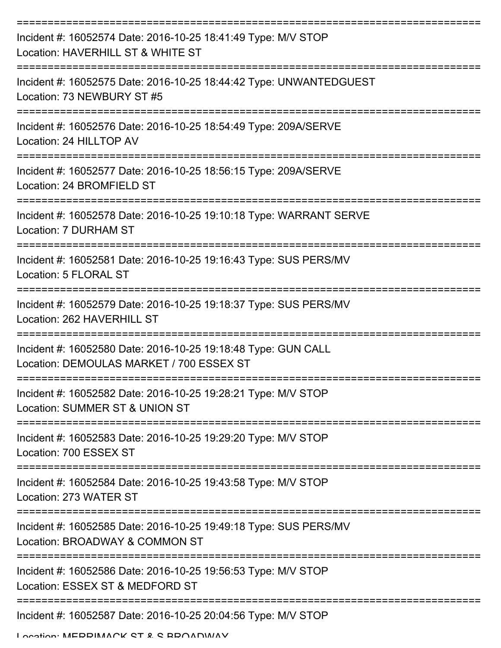| Incident #: 16052574 Date: 2016-10-25 18:41:49 Type: M/V STOP<br>Location: HAVERHILL ST & WHITE ST        |
|-----------------------------------------------------------------------------------------------------------|
| Incident #: 16052575 Date: 2016-10-25 18:44:42 Type: UNWANTEDGUEST<br>Location: 73 NEWBURY ST #5          |
| Incident #: 16052576 Date: 2016-10-25 18:54:49 Type: 209A/SERVE<br>Location: 24 HILLTOP AV                |
| Incident #: 16052577 Date: 2016-10-25 18:56:15 Type: 209A/SERVE<br>Location: 24 BROMFIELD ST              |
| Incident #: 16052578 Date: 2016-10-25 19:10:18 Type: WARRANT SERVE<br>Location: 7 DURHAM ST               |
| Incident #: 16052581 Date: 2016-10-25 19:16:43 Type: SUS PERS/MV<br>Location: 5 FLORAL ST                 |
| Incident #: 16052579 Date: 2016-10-25 19:18:37 Type: SUS PERS/MV<br>Location: 262 HAVERHILL ST            |
| Incident #: 16052580 Date: 2016-10-25 19:18:48 Type: GUN CALL<br>Location: DEMOULAS MARKET / 700 ESSEX ST |
| Incident #: 16052582 Date: 2016-10-25 19:28:21 Type: M/V STOP<br>Location: SUMMER ST & UNION ST           |
| Incident #: 16052583 Date: 2016-10-25 19:29:20 Type: M/V STOP<br>Location: 700 ESSEX ST                   |
| Incident #: 16052584 Date: 2016-10-25 19:43:58 Type: M/V STOP<br>Location: 273 WATER ST                   |
| Incident #: 16052585 Date: 2016-10-25 19:49:18 Type: SUS PERS/MV<br>Location: BROADWAY & COMMON ST        |
| Incident #: 16052586 Date: 2016-10-25 19:56:53 Type: M/V STOP<br>Location: ESSEX ST & MEDFORD ST          |
| Incident #: 16052587 Date: 2016-10-25 20:04:56 Type: M/V STOP                                             |

Location: MEDDIMACK ST & S BDOADWAV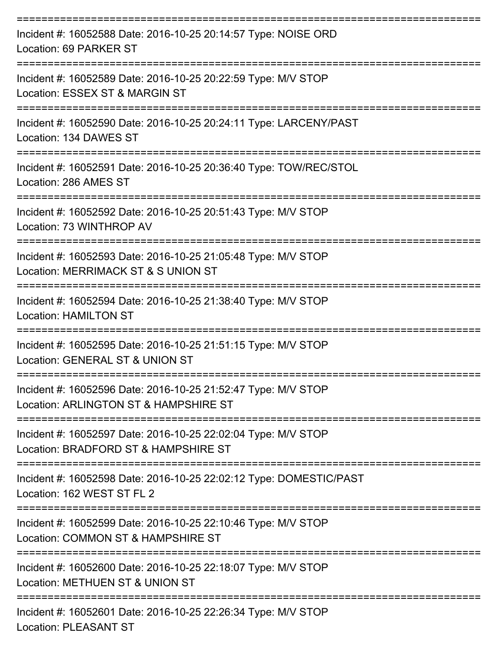| Incident #: 16052588 Date: 2016-10-25 20:14:57 Type: NOISE ORD<br>Location: 69 PARKER ST               |
|--------------------------------------------------------------------------------------------------------|
| Incident #: 16052589 Date: 2016-10-25 20:22:59 Type: M/V STOP<br>Location: ESSEX ST & MARGIN ST        |
| Incident #: 16052590 Date: 2016-10-25 20:24:11 Type: LARCENY/PAST<br>Location: 134 DAWES ST            |
| Incident #: 16052591 Date: 2016-10-25 20:36:40 Type: TOW/REC/STOL<br>Location: 286 AMES ST             |
| Incident #: 16052592 Date: 2016-10-25 20:51:43 Type: M/V STOP<br>Location: 73 WINTHROP AV              |
| Incident #: 16052593 Date: 2016-10-25 21:05:48 Type: M/V STOP<br>Location: MERRIMACK ST & S UNION ST   |
| Incident #: 16052594 Date: 2016-10-25 21:38:40 Type: M/V STOP<br><b>Location: HAMILTON ST</b>          |
| Incident #: 16052595 Date: 2016-10-25 21:51:15 Type: M/V STOP<br>Location: GENERAL ST & UNION ST       |
| Incident #: 16052596 Date: 2016-10-25 21:52:47 Type: M/V STOP<br>Location: ARLINGTON ST & HAMPSHIRE ST |
| Incident #: 16052597 Date: 2016-10-25 22:02:04 Type: M/V STOP<br>Location: BRADFORD ST & HAMPSHIRE ST  |
| Incident #: 16052598 Date: 2016-10-25 22:02:12 Type: DOMESTIC/PAST<br>Location: 162 WEST ST FL 2       |
| Incident #: 16052599 Date: 2016-10-25 22:10:46 Type: M/V STOP<br>Location: COMMON ST & HAMPSHIRE ST    |
| Incident #: 16052600 Date: 2016-10-25 22:18:07 Type: M/V STOP<br>Location: METHUEN ST & UNION ST       |
| Incident #: 16052601 Date: 2016-10-25 22:26:34 Type: M/V STOP<br><b>Location: PLEASANT ST</b>          |